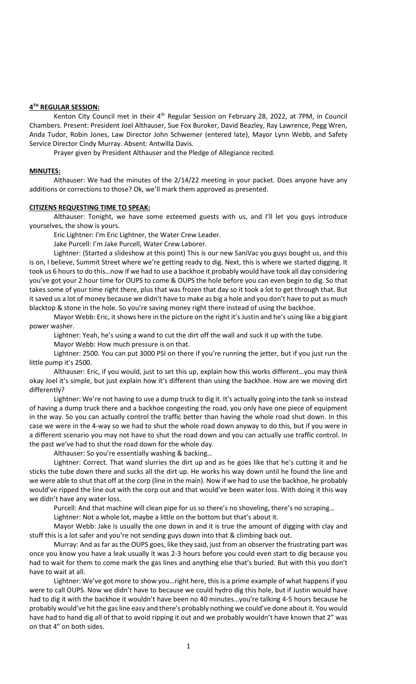## **4 TH REGULAR SESSION:**

Kenton City Council met in their 4<sup>th</sup> Regular Session on February 28, 2022, at 7PM, in Council Chambers. Present: President Joel Althauser, Sue Fox Buroker, David Beazley, Ray Lawrence, Pegg Wren, Anda Tudor, Robin Jones, Law Director John Schwemer (entered late), Mayor Lynn Webb, and Safety Service Director Cindy Murray. Absent: Antwilla Davis.

Prayer given by President Althauser and the Pledge of Allegiance recited.

## **MINUTES:**

Althauser: We had the minutes of the 2/14/22 meeting in your packet. Does anyone have any additions or corrections to those? Ok, we'll mark them approved as presented.

### **CITIZENS REQUESTING TIME TO SPEAK:**

Althauser: Tonight, we have some esteemed guests with us, and I'll let you guys introduce yourselves, the show is yours.

Eric Lightner: I'm Eric Lightner, the Water Crew Leader.

Jake Purcell: I'm Jake Purcell, Water Crew Laborer.

Lightner: (Started a slideshow at this point) This is our new SaniVac you guys bought us, and this is on, I believe, Summit Street where we're getting ready to dig. Next, this is where we started digging. It took us 6 hours to do this…now if we had to use a backhoe it probably would have took all day considering you've got your 2 hour time for OUPS to come & OUPS the hole before you can even begin to dig. So that takes some of your time right there, plus that was frozen that day so it took a lot to get through that. But it saved us a lot of money because we didn't have to make as big a hole and you don't have to put as much blacktop & stone in the hole. So you're saving money right there instead of using the backhoe.

Mayor Webb: Eric, it shows here in the picture on the right it's Justin and he's using like a big giant power washer.

Lightner: Yeah, he's using a wand to cut the dirt off the wall and suck it up with the tube.

Mayor Webb: How much pressure is on that.

Lightner: 2500. You can put 3000 PSI on there if you're running the jetter, but if you just run the little pump it's 2500.

Althauser: Eric, if you would, just to set this up, explain how this works different…you may think okay Joel it's simple, but just explain how it's different than using the backhoe. How are we moving dirt differently?

Lightner: We're not having to use a dump truck to dig it. It's actually going into the tank so instead of having a dump truck there and a backhoe congesting the road, you only have one piece of equipment in the way. So you can actually control the traffic better than having the whole road shut down. In this case we were in the 4-way so we had to shut the whole road down anyway to do this, but if you were in a different scenario you may not have to shut the road down and you can actually use traffic control. In the past we've had to shut the road down for the whole day.

Althauser: So you're essentially washing & backing…

Lightner: Correct. That wand slurries the dirt up and as he goes like that he's cutting it and he sticks the tube down there and sucks all the dirt up. He works his way down until he found the line and we were able to shut that off at the corp (line in the main). Now if we had to use the backhoe, he probably would've ripped the line out with the corp out and that would've been water loss. With doing it this way we didn't have any water loss.

Purcell: And that machine will clean pipe for us so there's no shoveling, there's no scraping…

Lightner: Not a whole lot, maybe a little on the bottom but that's about it.

Mayor Webb: Jake is usually the one down in and it is true the amount of digging with clay and stuff this is a lot safer and you're not sending guys down into that & climbing back out.

Murray: And as far as the OUPS goes, like they said, just from an observer the frustrating part was once you know you have a leak usually it was 2-3 hours before you could even start to dig because you had to wait for them to come mark the gas lines and anything else that's buried. But with this you don't have to wait at all.

Lightner: We've got more to show you…right here, this is a prime example of what happens if you were to call OUPS. Now we didn't have to because we could hydro dig this hole, but if Justin would have had to dig it with the backhoe it wouldn't have been no 40 minutes…you're talking 4-5 hours because he probably would've hit the gas line easy and there's probably nothing we could've done about it. You would have had to hand dig all of that to avoid ripping it out and we probably wouldn't have known that 2" was on that 4" on both sides.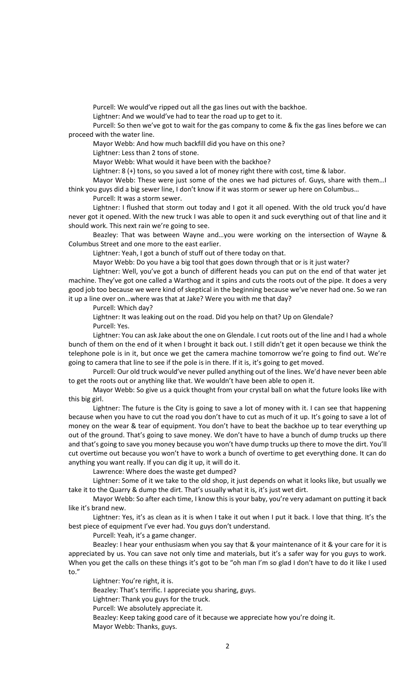Purcell: We would've ripped out all the gas lines out with the backhoe.

Lightner: And we would've had to tear the road up to get to it.

Purcell: So then we've got to wait for the gas company to come & fix the gas lines before we can proceed with the water line.

Mayor Webb: And how much backfill did you have on this one?

Lightner: Less than 2 tons of stone.

Mayor Webb: What would it have been with the backhoe?

Lightner: 8 (+) tons, so you saved a lot of money right there with cost, time & labor.

Mayor Webb: These were just some of the ones we had pictures of. Guys, share with them…I think you guys did a big sewer line, I don't know if it was storm or sewer up here on Columbus…

Purcell: It was a storm sewer.

Lightner: I flushed that storm out today and I got it all opened. With the old truck you'd have never got it opened. With the new truck I was able to open it and suck everything out of that line and it should work. This next rain we're going to see.

Beazley: That was between Wayne and…you were working on the intersection of Wayne & Columbus Street and one more to the east earlier.

Lightner: Yeah, I got a bunch of stuff out of there today on that.

Mayor Webb: Do you have a big tool that goes down through that or is it just water?

Lightner: Well, you've got a bunch of different heads you can put on the end of that water jet machine. They've got one called a Warthog and it spins and cuts the roots out of the pipe. It does a very good job too because we were kind of skeptical in the beginning because we've never had one. So we ran it up a line over on…where was that at Jake? Were you with me that day?

Purcell: Which day?

Lightner: It was leaking out on the road. Did you help on that? Up on Glendale? Purcell: Yes.

Lightner: You can ask Jake about the one on Glendale. I cut roots out of the line and I had a whole bunch of them on the end of it when I brought it back out. I still didn't get it open because we think the telephone pole is in it, but once we get the camera machine tomorrow we're going to find out. We're going to camera that line to see if the pole is in there. If it is, it's going to get moved.

Purcell: Our old truck would've never pulled anything out of the lines. We'd have never been able to get the roots out or anything like that. We wouldn't have been able to open it.

Mayor Webb: So give us a quick thought from your crystal ball on what the future looks like with this big girl.

Lightner: The future is the City is going to save a lot of money with it. I can see that happening because when you have to cut the road you don't have to cut as much of it up. It's going to save a lot of money on the wear & tear of equipment. You don't have to beat the backhoe up to tear everything up out of the ground. That's going to save money. We don't have to have a bunch of dump trucks up there and that's going to save you money because you won't have dump trucks up there to move the dirt. You'll cut overtime out because you won't have to work a bunch of overtime to get everything done. It can do anything you want really. If you can dig it up, it will do it.

Lawrence: Where does the waste get dumped?

Lightner: Some of it we take to the old shop, it just depends on what it looks like, but usually we take it to the Quarry & dump the dirt. That's usually what it is, it's just wet dirt.

Mayor Webb: So after each time, I know this is your baby, you're very adamant on putting it back like it's brand new.

Lightner: Yes, it's as clean as it is when I take it out when I put it back. I love that thing. It's the best piece of equipment I've ever had. You guys don't understand.

Purcell: Yeah, it's a game changer.

Beazley: I hear your enthusiasm when you say that & your maintenance of it & your care for it is appreciated by us. You can save not only time and materials, but it's a safer way for you guys to work. When you get the calls on these things it's got to be "oh man I'm so glad I don't have to do it like I used to."

Lightner: You're right, it is.

Beazley: That's terrific. I appreciate you sharing, guys.

Lightner: Thank you guys for the truck.

Purcell: We absolutely appreciate it.

Beazley: Keep taking good care of it because we appreciate how you're doing it.

Mayor Webb: Thanks, guys.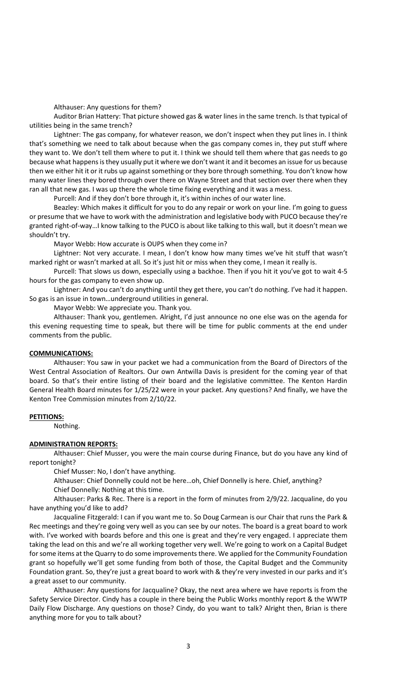Althauser: Any questions for them?

Auditor Brian Hattery: That picture showed gas & water lines in the same trench. Is that typical of utilities being in the same trench?

Lightner: The gas company, for whatever reason, we don't inspect when they put lines in. I think that's something we need to talk about because when the gas company comes in, they put stuff where they want to. We don't tell them where to put it. I think we should tell them where that gas needs to go because what happens is they usually put it where we don't want it and it becomes an issue for us because then we either hit it or it rubs up against something or they bore through something. You don't know how many water lines they bored through over there on Wayne Street and that section over there when they ran all that new gas. I was up there the whole time fixing everything and it was a mess.

Purcell: And if they don't bore through it, it's within inches of our water line.

Beazley: Which makes it difficult for you to do any repair or work on your line. I'm going to guess or presume that we have to work with the administration and legislative body with PUCO because they're granted right-of-way…I know talking to the PUCO is about like talking to this wall, but it doesn't mean we shouldn't try.

Mayor Webb: How accurate is OUPS when they come in?

Lightner: Not very accurate. I mean, I don't know how many times we've hit stuff that wasn't marked right or wasn't marked at all. So it's just hit or miss when they come, I mean it really is.

Purcell: That slows us down, especially using a backhoe. Then if you hit it you've got to wait 4-5 hours for the gas company to even show up.

Lightner: And you can't do anything until they get there, you can't do nothing. I've had it happen. So gas is an issue in town…underground utilities in general.

Mayor Webb: We appreciate you. Thank you.

Althauser: Thank you, gentlemen. Alright, I'd just announce no one else was on the agenda for this evening requesting time to speak, but there will be time for public comments at the end under comments from the public.

### **COMMUNICATIONS:**

Althauser: You saw in your packet we had a communication from the Board of Directors of the West Central Association of Realtors. Our own Antwilla Davis is president for the coming year of that board. So that's their entire listing of their board and the legislative committee. The Kenton Hardin General Health Board minutes for 1/25/22 were in your packet. Any questions? And finally, we have the Kenton Tree Commission minutes from 2/10/22.

### **PETITIONS:**

Nothing.

# **ADMINISTRATION REPORTS:**

Althauser: Chief Musser, you were the main course during Finance, but do you have any kind of report tonight?

Chief Musser: No, I don't have anything.

Althauser: Chief Donnelly could not be here…oh, Chief Donnelly is here. Chief, anything? Chief Donnelly: Nothing at this time.

Althauser: Parks & Rec. There is a report in the form of minutes from 2/9/22. Jacqualine, do you have anything you'd like to add?

Jacqualine Fitzgerald: I can if you want me to. So Doug Carmean is our Chair that runs the Park & Rec meetings and they're going very well as you can see by our notes. The board is a great board to work with. I've worked with boards before and this one is great and they're very engaged. I appreciate them taking the lead on this and we're all working together very well. We're going to work on a Capital Budget for some items at the Quarry to do some improvements there. We applied for the Community Foundation grant so hopefully we'll get some funding from both of those, the Capital Budget and the Community Foundation grant. So, they're just a great board to work with & they're very invested in our parks and it's a great asset to our community.

Althauser: Any questions for Jacqualine? Okay, the next area where we have reports is from the Safety Service Director. Cindy has a couple in there being the Public Works monthly report & the WWTP Daily Flow Discharge. Any questions on those? Cindy, do you want to talk? Alright then, Brian is there anything more for you to talk about?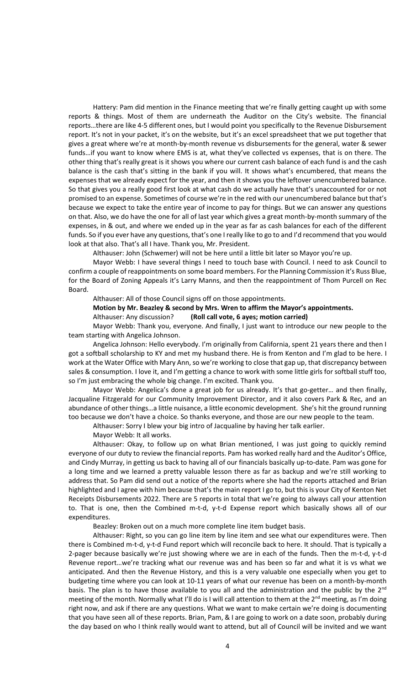Hattery: Pam did mention in the Finance meeting that we're finally getting caught up with some reports & things. Most of them are underneath the Auditor on the City's website. The financial reports…there are like 4-5 different ones, but I would point you specifically to the Revenue Disbursement report. It's not in your packet, it's on the website, but it's an excel spreadsheet that we put together that gives a great where we're at month-by-month revenue vs disbursements for the general, water & sewer funds…if you want to know where EMS is at, what they've collected vs expenses, that is on there. The other thing that's really great is it shows you where our current cash balance of each fund is and the cash balance is the cash that's sitting in the bank if you will. It shows what's encumbered, that means the expenses that we already expect for the year, and then it shows you the leftover unencumbered balance. So that gives you a really good first look at what cash do we actually have that's unaccounted for or not promised to an expense. Sometimes of course we're in the red with our unencumbered balance but that's because we expect to take the entire year of income to pay for things. But we can answer any questions on that. Also, we do have the one for all of last year which gives a great month-by-month summary of the expenses, in & out, and where we ended up in the year as far as cash balances for each of the different funds. So if you ever have any questions, that's one I really like to go to and I'd recommend that you would look at that also. That's all I have. Thank you, Mr. President.

Althauser: John (Schwemer) will not be here until a little bit later so Mayor you're up.

Mayor Webb: I have several things I need to touch base with Council. I need to ask Council to confirm a couple of reappointments on some board members. For the Planning Commission it's Russ Blue, for the Board of Zoning Appeals it's Larry Manns, and then the reappointment of Thom Purcell on Rec Board.

Althauser: All of those Council signs off on those appointments.

**Motion by Mr. Beazley & second by Mrs. Wren to affirm the Mayor's appointments.**

Althauser: Any discussion? **(Roll call vote, 6 ayes; motion carried)**

Mayor Webb: Thank you, everyone. And finally, I just want to introduce our new people to the team starting with Angelica Johnson.

Angelica Johnson: Hello everybody. I'm originally from California, spent 21 years there and then I got a softball scholarship to KY and met my husband there. He is from Kenton and I'm glad to be here. I work at the Water Office with Mary Ann, so we're working to close that gap up, that discrepancy between sales & consumption. I love it, and I'm getting a chance to work with some little girls for softball stuff too, so I'm just embracing the whole big change. I'm excited. Thank you.

Mayor Webb: Angelica's done a great job for us already. It's that go-getter… and then finally, Jacqualine Fitzgerald for our Community Improvement Director, and it also covers Park & Rec, and an abundance of other things…a little nuisance, a little economic development. She's hit the ground running too because we don't have a choice. So thanks everyone, and those are our new people to the team.

Althauser: Sorry I blew your big intro of Jacqualine by having her talk earlier.

Mayor Webb: It all works.

Althauser: Okay, to follow up on what Brian mentioned, I was just going to quickly remind everyone of our duty to review the financial reports. Pam has worked really hard and the Auditor's Office, and Cindy Murray, in getting us back to having all of our financials basically up-to-date. Pam was gone for a long time and we learned a pretty valuable lesson there as far as backup and we're still working to address that. So Pam did send out a notice of the reports where she had the reports attached and Brian highlighted and I agree with him because that's the main report I go to, but this is your City of Kenton Net Receipts Disbursements 2022. There are 5 reports in total that we're going to always call your attention to. That is one, then the Combined m-t-d, y-t-d Expense report which basically shows all of our expenditures.

Beazley: Broken out on a much more complete line item budget basis.

Althauser: Right, so you can go line item by line item and see what our expenditures were. Then there is Combined m-t-d, y-t-d Fund report which will reconcile back to here. It should. That is typically a 2-pager because basically we're just showing where we are in each of the funds. Then the m-t-d, y-t-d Revenue report…we're tracking what our revenue was and has been so far and what it is vs what we anticipated. And then the Revenue History, and this is a very valuable one especially when you get to budgeting time where you can look at 10-11 years of what our revenue has been on a month-by-month basis. The plan is to have those available to you all and the administration and the public by the 2<sup>nd</sup> meeting of the month. Normally what I'll do is I will call attention to them at the  $2^{nd}$  meeting, as I'm doing right now, and ask if there are any questions. What we want to make certain we're doing is documenting that you have seen all of these reports. Brian, Pam, & I are going to work on a date soon, probably during the day based on who I think really would want to attend, but all of Council will be invited and we want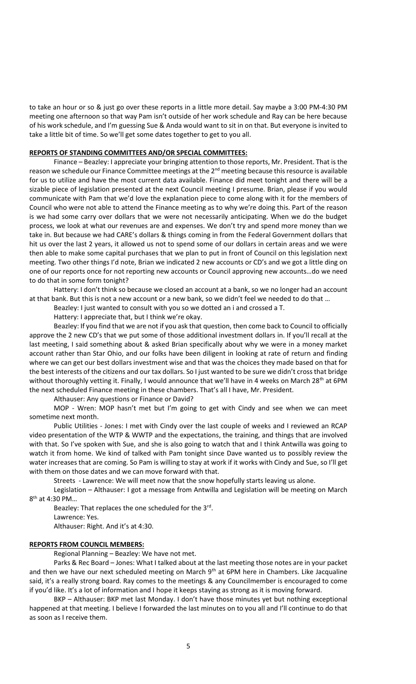to take an hour or so & just go over these reports in a little more detail. Say maybe a 3:00 PM-4:30 PM meeting one afternoon so that way Pam isn't outside of her work schedule and Ray can be here because of his work schedule, and I'm guessing Sue & Anda would want to sit in on that. But everyone is invited to take a little bit of time. So we'll get some dates together to get to you all.

## **REPORTS OF STANDING COMMITTEES AND/OR SPECIAL COMMITTEES:**

Finance – Beazley: I appreciate your bringing attention to those reports, Mr. President. That is the reason we schedule our Finance Committee meetings at the  $2<sup>nd</sup>$  meeting because this resource is available for us to utilize and have the most current data available. Finance did meet tonight and there will be a sizable piece of legislation presented at the next Council meeting I presume. Brian, please if you would communicate with Pam that we'd love the explanation piece to come along with it for the members of Council who were not able to attend the Finance meeting as to why we're doing this. Part of the reason is we had some carry over dollars that we were not necessarily anticipating. When we do the budget process, we look at what our revenues are and expenses. We don't try and spend more money than we take in. But because we had CARE's dollars & things coming in from the Federal Government dollars that hit us over the last 2 years, it allowed us not to spend some of our dollars in certain areas and we were then able to make some capital purchases that we plan to put in front of Council on this legislation next meeting. Two other things I'd note, Brian we indicated 2 new accounts or CD's and we got a little ding on one of our reports once for not reporting new accounts or Council approving new accounts…do we need to do that in some form tonight?

Hattery: I don't think so because we closed an account at a bank, so we no longer had an account at that bank. But this is not a new account or a new bank, so we didn't feel we needed to do that …

Beazley: I just wanted to consult with you so we dotted an i and crossed a T.

Hattery: I appreciate that, but I think we're okay.

Beazley: If you find that we are not if you ask that question, then come back to Council to officially approve the 2 new CD's that we put some of those additional investment dollars in. If you'll recall at the last meeting, I said something about & asked Brian specifically about why we were in a money market account rather than Star Ohio, and our folks have been diligent in looking at rate of return and finding where we can get our best dollars investment wise and that was the choices they made based on that for the best interests of the citizens and our tax dollars. So I just wanted to be sure we didn't cross that bridge without thoroughly vetting it. Finally, I would announce that we'll have in 4 weeks on March 28<sup>th</sup> at 6PM the next scheduled Finance meeting in these chambers. That's all I have, Mr. President.

Althauser: Any questions or Finance or David?

MOP - Wren: MOP hasn't met but I'm going to get with Cindy and see when we can meet sometime next month.

Public Utilities - Jones: I met with Cindy over the last couple of weeks and I reviewed an RCAP video presentation of the WTP & WWTP and the expectations, the training, and things that are involved with that. So I've spoken with Sue, and she is also going to watch that and I think Antwilla was going to watch it from home. We kind of talked with Pam tonight since Dave wanted us to possibly review the water increases that are coming. So Pam is willing to stay at work if it works with Cindy and Sue, so I'll get with them on those dates and we can move forward with that.

Streets - Lawrence: We will meet now that the snow hopefully starts leaving us alone.

Legislation – Althauser: I got a message from Antwilla and Legislation will be meeting on March 8<sup>th</sup> at 4:30 PM...

Beazley: That replaces the one scheduled for the 3<sup>rd</sup>. Lawrence: Yes. Althauser: Right. And it's at 4:30.

## **REPORTS FROM COUNCIL MEMBERS:**

Regional Planning – Beazley: We have not met.

Parks & Rec Board – Jones: What I talked about at the last meeting those notes are in your packet and then we have our next scheduled meeting on March  $9<sup>th</sup>$  at 6PM here in Chambers. Like Jacqualine said, it's a really strong board. Ray comes to the meetings & any Councilmember is encouraged to come if you'd like. It's a lot of information and I hope it keeps staying as strong as it is moving forward.

BKP – Althauser: BKP met last Monday. I don't have those minutes yet but nothing exceptional happened at that meeting. I believe I forwarded the last minutes on to you all and I'll continue to do that as soon as I receive them.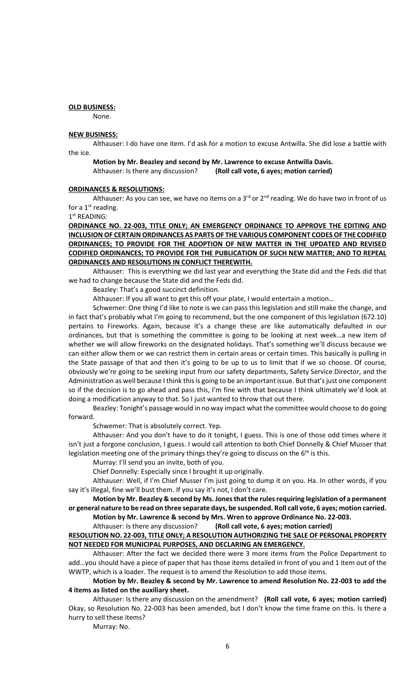## **OLD BUSINESS:**

None.

## **NEW BUSINESS:**

Althauser: I do have one item. I'd ask for a motion to excuse Antwilla. She did lose a battle with the ice.

#### **Motion by Mr. Beazley and second by Mr. Lawrence to excuse Antwilla Davis.** Althauser: Is there any discussion? **(Roll call vote, 6 ayes; motion carried)**

#### **ORDINANCES & RESOLUTIONS:**

Althauser: As you can see, we have no items on a  $3<sup>rd</sup>$  or  $2<sup>nd</sup>$  reading. We do have two in front of us for a  $1<sup>st</sup>$  reading.

### 1 st READING:

**ORDINANCE NO. 22-003, TITLE ONLY; AN EMERGENCY ORDINANCE TO APPROVE THE EDITING AND INCLUSION OF CERTAIN ORDINANCES AS PARTS OF THE VARIOUS COMPONENT CODES OF THE CODIFIED ORDINANCES; TO PROVIDE FOR THE ADOPTION OF NEW MATTER IN THE UPDATED AND REVISED CODIFIED ORDINANCES; TO PROVIDE FOR THE PUBLICATION OF SUCH NEW MATTER; AND TO REPEAL ORDINANCES AND RESOLUTIONS IN CONFLICT THEREWITH.**

Althauser: This is everything we did last year and everything the State did and the Feds did that we had to change because the State did and the Feds did.

Beazley: That's a good succinct definition.

Althauser: If you all want to get this off your plate, I would entertain a motion…

Schwemer: One thing I'd like to note is we can pass this legislation and still make the change, and in fact that's probably what I'm going to recommend, but the one component of this legislation (672.10) pertains to Fireworks. Again, because it's a change these are like automatically defaulted in our ordinances, but that is something the committee is going to be looking at next week…a new item of whether we will allow fireworks on the designated holidays. That's something we'll discuss because we can either allow them or we can restrict them in certain areas or certain times. This basically is pulling in the State passage of that and then it's going to be up to us to limit that if we so choose. Of course, obviously we're going to be seeking input from our safety departments, Safety Service Director, and the Administration as well because I think this is going to be an important issue. But that's just one component so if the decision is to go ahead and pass this, I'm fine with that because I think ultimately we'd look at doing a modification anyway to that. So I just wanted to throw that out there.

Beazley: Tonight's passage would in no way impact what the committee would choose to do going forward.

Schwemer: That is absolutely correct. Yep.

Althauser: And you don't have to do it tonight, I guess. This is one of those odd times where it isn't just a forgone conclusion, I guess. I would call attention to both Chief Donnelly & Chief Musser that legislation meeting one of the primary things they're going to discuss on the  $6<sup>th</sup>$  is this.

Murray: I'll send you an invite, both of you.

Chief Donnelly: Especially since I brought it up originally.

Althauser: Well, if I'm Chief Musser I'm just going to dump it on you. Ha. In other words, if you say it's illegal, fine we'll bust them. If you say it's not, I don't care.

**Motion by Mr. Beazley & second by Ms. Jones that the rules requiring legislation of a permanent or general nature to be read on three separate days, be suspended. Roll call vote, 6 ayes; motion carried. Motion by Mr. Lawrence & second by Mrs. Wren to approve Ordinance No. 22-003.**

Althauser: Is there any discussion? **(Roll call vote, 6 ayes; motion carried)**

# **RESOLUTION NO. 22-003, TITLE ONLY; A RESOLUTION AUTHORIZING THE SALE OF PERSONAL PROPERTY NOT NEEDED FOR MUNICIPAL PURPOSES, AND DECLARING AN EMERGENCY.**

Althauser: After the fact we decided there were 3 more items from the Police Department to add…you should have a piece of paper that has those items detailed in front of you and 1 item out of the WWTP, which is a loader. The request is to amend the Resolution to add those items.

## **Motion by Mr. Beazley & second by Mr. Lawrence to amend Resolution No. 22-003 to add the 4 items as listed on the auxiliary sheet.**

Althauser: Is there any discussion on the amendment? **(Roll call vote, 6 ayes; motion carried)** Okay, so Resolution No. 22-003 has been amended, but I don't know the time frame on this. Is there a hurry to sell these items?

Murray: No.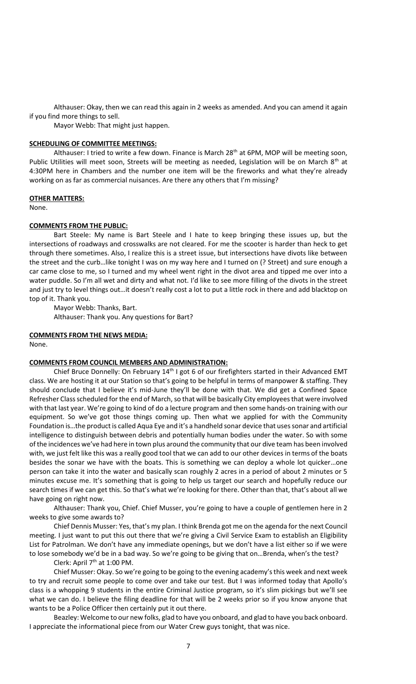Althauser: Okay, then we can read this again in 2 weeks as amended. And you can amend it again if you find more things to sell.

Mayor Webb: That might just happen.

## **SCHEDULING OF COMMITTEE MEETINGS:**

Althauser: I tried to write a few down. Finance is March  $28<sup>th</sup>$  at 6PM, MOP will be meeting soon, Public Utilities will meet soon, Streets will be meeting as needed, Legislation will be on March 8<sup>th</sup> at 4:30PM here in Chambers and the number one item will be the fireworks and what they're already working on as far as commercial nuisances. Are there any others that I'm missing?

## **OTHER MATTERS:**

None.

## **COMMENTS FROM THE PUBLIC:**

Bart Steele: My name is Bart Steele and I hate to keep bringing these issues up, but the intersections of roadways and crosswalks are not cleared. For me the scooter is harder than heck to get through there sometimes. Also, I realize this is a street issue, but intersections have divots like between the street and the curb…like tonight I was on my way here and I turned on (? Street) and sure enough a car came close to me, so I turned and my wheel went right in the divot area and tipped me over into a water puddle. So I'm all wet and dirty and what not. I'd like to see more filling of the divots in the street and just try to level things out…it doesn't really cost a lot to put a little rock in there and add blacktop on top of it. Thank you.

Mayor Webb: Thanks, Bart. Althauser: Thank you. Any questions for Bart?

## **COMMENTS FROM THE NEWS MEDIA:**

None.

## **COMMENTS FROM COUNCIL MEMBERS AND ADMINISTRATION:**

Chief Bruce Donnelly: On February  $14<sup>th</sup>$  I got 6 of our firefighters started in their Advanced EMT class. We are hosting it at our Station so that's going to be helpful in terms of manpower & staffing. They should conclude that I believe it's mid-June they'll be done with that. We did get a Confined Space Refresher Class scheduled for the end of March, so that will be basically City employees that were involved with that last year. We're going to kind of do a lecture program and then some hands-on training with our equipment. So we've got those things coming up. Then what we applied for with the Community Foundation is…the product is called Aqua Eye and it's a handheld sonar device that uses sonar and artificial intelligence to distinguish between debris and potentially human bodies under the water. So with some of the incidences we've had here in town plus around the community that our dive team has been involved with, we just felt like this was a really good tool that we can add to our other devices in terms of the boats besides the sonar we have with the boats. This is something we can deploy a whole lot quicker…one person can take it into the water and basically scan roughly 2 acres in a period of about 2 minutes or 5 minutes excuse me. It's something that is going to help us target our search and hopefully reduce our search times if we can get this. So that's what we're looking for there. Other than that, that's about all we have going on right now.

Althauser: Thank you, Chief. Chief Musser, you're going to have a couple of gentlemen here in 2 weeks to give some awards to?

Chief Dennis Musser: Yes, that's my plan. I think Brenda got me on the agenda for the next Council meeting. I just want to put this out there that we're giving a Civil Service Exam to establish an Eligibility List for Patrolman. We don't have any immediate openings, but we don't have a list either so if we were to lose somebody we'd be in a bad way. So we're going to be giving that on…Brenda, when's the test?

Clerk: April  $7<sup>th</sup>$  at 1:00 PM.

Chief Musser: Okay. So we're going to be going to the evening academy's this week and next week to try and recruit some people to come over and take our test. But I was informed today that Apollo's class is a whopping 9 students in the entire Criminal Justice program, so it's slim pickings but we'll see what we can do. I believe the filing deadline for that will be 2 weeks prior so if you know anyone that wants to be a Police Officer then certainly put it out there.

Beazley: Welcome to our new folks, glad to have you onboard, and glad to have you back onboard. I appreciate the informational piece from our Water Crew guys tonight, that was nice.